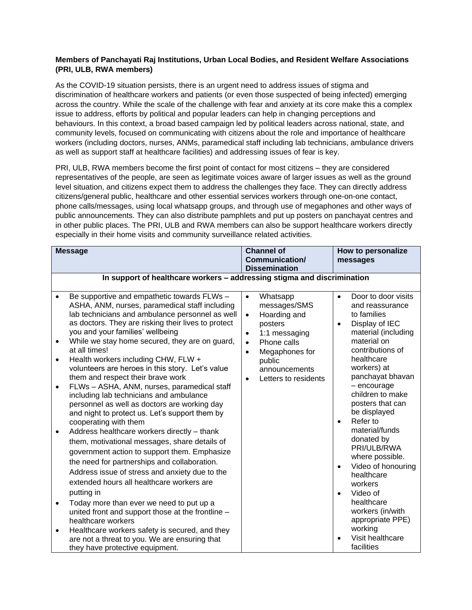## **Members of Panchayati Raj Institutions, Urban Local Bodies, and Resident Welfare Associations (PRI, ULB, RWA members)**

As the COVID-19 situation persists, there is an urgent need to address issues of stigma and discrimination of healthcare workers and patients (or even those suspected of being infected) emerging across the country. While the scale of the challenge with fear and anxiety at its core make this a complex issue to address, efforts by political and popular leaders can help in changing perceptions and behaviours. In this context, a broad based campaign led by political leaders across national, state, and community levels, focused on communicating with citizens about the role and importance of healthcare workers (including doctors, nurses, ANMs, paramedical staff including lab technicians, ambulance drivers as well as support staff at healthcare facilities) and addressing issues of fear is key.

PRI, ULB, RWA members become the first point of contact for most citizens – they are considered representatives of the people, are seen as legitimate voices aware of larger issues as well as the ground level situation, and citizens expect them to address the challenges they face. They can directly address citizens/general public, healthcare and other essential services workers through one-on-one contact, phone calls/messages, using local whatsapp groups, and through use of megaphones and other ways of public announcements. They can also distribute pamphlets and put up posters on panchayat centres and in other public places. The PRI, ULB and RWA members can also be support healthcare workers directly especially in their home visits and community surveillance related activities.

| <b>Message</b>                                                                          |                                                                                                                                                                                                                                                                                                                                                                                                                                                                                                                                                                                                                                                                                                                                                                                                                                                                                                                                                                                                                                                                                                                                                           | <b>Channel of</b><br><b>Communication/</b><br><b>Dissemination</b>                                                                                                                                                                     | How to personalize<br>messages                                                                                                                                                                                                                                                                                                                                                                                                                                                                                                                           |  |  |  |  |
|-----------------------------------------------------------------------------------------|-----------------------------------------------------------------------------------------------------------------------------------------------------------------------------------------------------------------------------------------------------------------------------------------------------------------------------------------------------------------------------------------------------------------------------------------------------------------------------------------------------------------------------------------------------------------------------------------------------------------------------------------------------------------------------------------------------------------------------------------------------------------------------------------------------------------------------------------------------------------------------------------------------------------------------------------------------------------------------------------------------------------------------------------------------------------------------------------------------------------------------------------------------------|----------------------------------------------------------------------------------------------------------------------------------------------------------------------------------------------------------------------------------------|----------------------------------------------------------------------------------------------------------------------------------------------------------------------------------------------------------------------------------------------------------------------------------------------------------------------------------------------------------------------------------------------------------------------------------------------------------------------------------------------------------------------------------------------------------|--|--|--|--|
| In support of healthcare workers - addressing stigma and discrimination                 |                                                                                                                                                                                                                                                                                                                                                                                                                                                                                                                                                                                                                                                                                                                                                                                                                                                                                                                                                                                                                                                                                                                                                           |                                                                                                                                                                                                                                        |                                                                                                                                                                                                                                                                                                                                                                                                                                                                                                                                                          |  |  |  |  |
| $\bullet$<br>$\bullet$<br>$\bullet$<br>$\bullet$<br>$\bullet$<br>$\bullet$<br>$\bullet$ | Be supportive and empathetic towards FLWs -<br>ASHA, ANM, nurses, paramedical staff including<br>lab technicians and ambulance personnel as well<br>as doctors. They are risking their lives to protect<br>you and your families' wellbeing<br>While we stay home secured, they are on guard,<br>at all times!<br>Health workers including CHW, FLW +<br>volunteers are heroes in this story. Let's value<br>them and respect their brave work<br>FLWs - ASHA, ANM, nurses, paramedical staff<br>including lab technicians and ambulance<br>personnel as well as doctors are working day<br>and night to protect us. Let's support them by<br>cooperating with them<br>Address healthcare workers directly - thank<br>them, motivational messages, share details of<br>government action to support them. Emphasize<br>the need for partnerships and collaboration.<br>Address issue of stress and anxiety due to the<br>extended hours all healthcare workers are<br>putting in<br>Today more than ever we need to put up a<br>united front and support those at the frontline -<br>healthcare workers<br>Healthcare workers safety is secured, and they | $\bullet$<br>Whatsapp<br>messages/SMS<br>Hoarding and<br>$\bullet$<br>posters<br>1:1 messaging<br>$\bullet$<br>Phone calls<br>$\bullet$<br>Megaphones for<br>$\bullet$<br>public<br>announcements<br>Letters to residents<br>$\bullet$ | Door to door visits<br>$\bullet$<br>and reassurance<br>to families<br>Display of IEC<br>$\bullet$<br>material (including<br>material on<br>contributions of<br>healthcare<br>workers) at<br>panchayat bhavan<br>- encourage<br>children to make<br>posters that can<br>be displayed<br>Refer to<br>$\bullet$<br>material/funds<br>donated by<br>PRI/ULB/RWA<br>where possible.<br>Video of honouring<br>$\bullet$<br>healthcare<br>workers<br>Video of<br>$\bullet$<br>healthcare<br>workers (in/with<br>appropriate PPE)<br>working<br>Visit healthcare |  |  |  |  |
|                                                                                         | are not a threat to you. We are ensuring that<br>they have protective equipment.                                                                                                                                                                                                                                                                                                                                                                                                                                                                                                                                                                                                                                                                                                                                                                                                                                                                                                                                                                                                                                                                          |                                                                                                                                                                                                                                        | facilities                                                                                                                                                                                                                                                                                                                                                                                                                                                                                                                                               |  |  |  |  |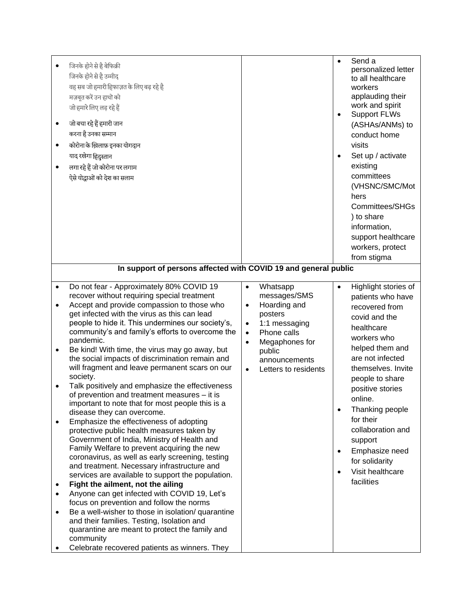| $\bullet$<br>$\bullet$<br>$\bullet$ | जिनके होने से है बेफिक्री<br>जिनके होने से है उम्मीद<br>वह सब जो हमारी हिफाज़त के लिए बढ़ रहे है<br>मज़बूत करें उन हाथों को<br>जो हमारे लिए लड़ रहे हैं<br>जो बचा रहे हैं हमारी जान<br>करना है उनका सम्मान<br>कोरोना के ख़िलाफ़ इनका योगदान<br>याद रखेगा हिंदुस्तान<br>लगा रहे हैं जो कोरोना पर लगाम<br>ऐसे योद्धाओं को देश का सलाम<br>In support of persons affected with COVID 19 and general public |           |                              | $\bullet$<br>$\bullet$ | Send a<br>personalized letter<br>to all healthcare<br>workers<br>applauding their<br>work and spirit<br><b>Support FLWs</b><br>(ASHAs/ANMs) to<br>conduct home<br>visits<br>Set up / activate<br>existing<br>committees<br>(VHSNC/SMC/Mot<br>hers<br>Committees/SHGs<br>) to share<br>information,<br>support healthcare<br>workers, protect<br>from stigma |
|-------------------------------------|--------------------------------------------------------------------------------------------------------------------------------------------------------------------------------------------------------------------------------------------------------------------------------------------------------------------------------------------------------------------------------------------------------|-----------|------------------------------|------------------------|-------------------------------------------------------------------------------------------------------------------------------------------------------------------------------------------------------------------------------------------------------------------------------------------------------------------------------------------------------------|
| $\bullet$                           | Do not fear - Approximately 80% COVID 19                                                                                                                                                                                                                                                                                                                                                               | $\bullet$ | Whatsapp                     |                        | Highlight stories of                                                                                                                                                                                                                                                                                                                                        |
|                                     | recover without requiring special treatment<br>Accept and provide compassion to those who                                                                                                                                                                                                                                                                                                              | $\bullet$ | messages/SMS<br>Hoarding and |                        | patients who have                                                                                                                                                                                                                                                                                                                                           |
|                                     | get infected with the virus as this can lead                                                                                                                                                                                                                                                                                                                                                           |           | posters                      |                        | recovered from                                                                                                                                                                                                                                                                                                                                              |
|                                     | people to hide it. This undermines our society's,                                                                                                                                                                                                                                                                                                                                                      | $\bullet$ | 1:1 messaging                |                        | covid and the                                                                                                                                                                                                                                                                                                                                               |
|                                     | community's and family's efforts to overcome the                                                                                                                                                                                                                                                                                                                                                       | $\bullet$ | Phone calls                  |                        | healthcare                                                                                                                                                                                                                                                                                                                                                  |
|                                     | pandemic.                                                                                                                                                                                                                                                                                                                                                                                              | $\bullet$ | Megaphones for               |                        | workers who                                                                                                                                                                                                                                                                                                                                                 |
| $\bullet$                           | Be kind! With time, the virus may go away, but                                                                                                                                                                                                                                                                                                                                                         |           | public                       |                        | helped them and                                                                                                                                                                                                                                                                                                                                             |
|                                     | the social impacts of discrimination remain and                                                                                                                                                                                                                                                                                                                                                        |           | announcements                |                        | are not infected                                                                                                                                                                                                                                                                                                                                            |
|                                     | will fragment and leave permanent scars on our<br>society.                                                                                                                                                                                                                                                                                                                                             | $\bullet$ | Letters to residents         |                        | themselves. Invite                                                                                                                                                                                                                                                                                                                                          |
|                                     | Talk positively and emphasize the effectiveness                                                                                                                                                                                                                                                                                                                                                        |           |                              |                        | people to share                                                                                                                                                                                                                                                                                                                                             |
|                                     | of prevention and treatment measures - it is                                                                                                                                                                                                                                                                                                                                                           |           |                              |                        | positive stories                                                                                                                                                                                                                                                                                                                                            |
|                                     | important to note that for most people this is a                                                                                                                                                                                                                                                                                                                                                       |           |                              |                        | online.                                                                                                                                                                                                                                                                                                                                                     |
|                                     | disease they can overcome.                                                                                                                                                                                                                                                                                                                                                                             |           |                              | $\bullet$              | Thanking people                                                                                                                                                                                                                                                                                                                                             |
| $\bullet$                           | Emphasize the effectiveness of adopting                                                                                                                                                                                                                                                                                                                                                                |           |                              |                        | for their                                                                                                                                                                                                                                                                                                                                                   |
|                                     | protective public health measures taken by                                                                                                                                                                                                                                                                                                                                                             |           |                              |                        | collaboration and                                                                                                                                                                                                                                                                                                                                           |
|                                     | Government of India, Ministry of Health and<br>Family Welfare to prevent acquiring the new                                                                                                                                                                                                                                                                                                             |           |                              |                        | support                                                                                                                                                                                                                                                                                                                                                     |
|                                     | coronavirus, as well as early screening, testing                                                                                                                                                                                                                                                                                                                                                       |           |                              | $\bullet$              | Emphasize need                                                                                                                                                                                                                                                                                                                                              |
|                                     | and treatment. Necessary infrastructure and                                                                                                                                                                                                                                                                                                                                                            |           |                              |                        | for solidarity                                                                                                                                                                                                                                                                                                                                              |
|                                     | services are available to support the population.                                                                                                                                                                                                                                                                                                                                                      |           |                              |                        | Visit healthcare                                                                                                                                                                                                                                                                                                                                            |
|                                     | Fight the ailment, not the ailing                                                                                                                                                                                                                                                                                                                                                                      |           |                              |                        | facilities                                                                                                                                                                                                                                                                                                                                                  |
| $\bullet$                           | Anyone can get infected with COVID 19, Let's                                                                                                                                                                                                                                                                                                                                                           |           |                              |                        |                                                                                                                                                                                                                                                                                                                                                             |
|                                     | focus on prevention and follow the norms                                                                                                                                                                                                                                                                                                                                                               |           |                              |                        |                                                                                                                                                                                                                                                                                                                                                             |
| $\bullet$                           | Be a well-wisher to those in isolation/ quarantine                                                                                                                                                                                                                                                                                                                                                     |           |                              |                        |                                                                                                                                                                                                                                                                                                                                                             |
|                                     | and their families. Testing, Isolation and<br>quarantine are meant to protect the family and                                                                                                                                                                                                                                                                                                           |           |                              |                        |                                                                                                                                                                                                                                                                                                                                                             |
|                                     | community                                                                                                                                                                                                                                                                                                                                                                                              |           |                              |                        |                                                                                                                                                                                                                                                                                                                                                             |
|                                     | Celebrate recovered patients as winners. They                                                                                                                                                                                                                                                                                                                                                          |           |                              |                        |                                                                                                                                                                                                                                                                                                                                                             |